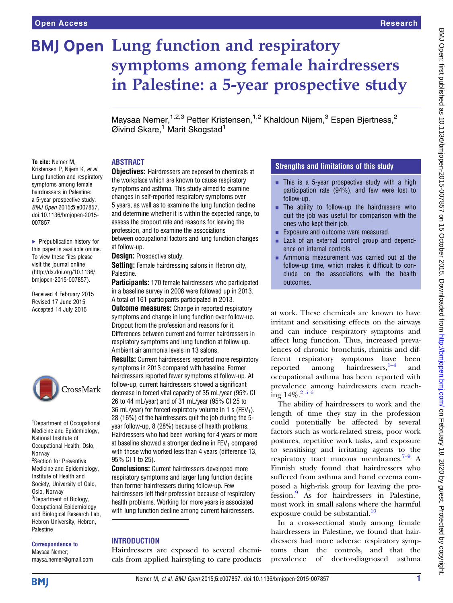# **BMJ Open Lung function and respiratory** symptoms among female hairdressers in Palestine: a 5-year prospective study

Maysaa Nemer,<sup>1,2,3</sup> Petter Kristensen,<sup>1,2</sup> Khaldoun Nijem,<sup>3</sup> Espen Bjertness,<sup>2</sup>  $Q$ ivind Skare,<sup>1</sup> Marit Skogstad<sup>1</sup>

#### To cite: Nemer M,

Kristensen P, Nijem K, et al. Lung function and respiratory symptoms among female hairdressers in Palestine: a 5-year prospective study. BMJ Open 2015;5:e007857. doi:10.1136/bmjopen-2015- 007857

▶ Prepublication history for this paper is available online. To view these files please visit the journal online [\(http://dx.doi.org/10.1136/](http://dx.doi.org/10.1136/bmjopen-2015-007857) [bmjopen-2015-007857](http://dx.doi.org/10.1136/bmjopen-2015-007857)).

Received 4 February 2015 Revised 17 June 2015 Accepted 14 July 2015



<sup>1</sup>Department of Occupational Medicine and Epidemiology, National Institute of Occupational Health, Oslo, Norway <sup>2</sup>Section for Preventive Medicine and Epidemiology, Institute of Health and Society, University of Oslo, Oslo, Norway <sup>3</sup>Department of Biology, Occupational Epidemiology and Biological Research Lab, Hebron University, Hebron, Palestine

Correspondence to Maysaa Nemer; maysa.nemer@gmail.com

#### ABSTRACT

**Objectives:** Hairdressers are exposed to chemicals at the workplace which are known to cause respiratory symptoms and asthma. This study aimed to examine changes in self-reported respiratory symptoms over 5 years, as well as to examine the lung function decline and determine whether it is within the expected range, to assess the dropout rate and reasons for leaving the profession, and to examine the associations between occupational factors and lung function changes at follow-up.

Design: Prospective study.

Setting: Female hairdressing salons in Hebron city, Palestine.

Participants: 170 female hairdressers who participated in a baseline survey in 2008 were followed up in 2013. A total of 161 participants participated in 2013.

**Outcome measures:** Change in reported respiratory symptoms and change in lung function over follow-up. Dropout from the profession and reasons for it. Differences between current and former hairdressers in respiratory symptoms and lung function at follow-up. Ambient air ammonia levels in 13 salons.

**Results:** Current hairdressers reported more respiratory symptoms in 2013 compared with baseline. Former hairdressers reported fewer symptoms at follow-up. At follow-up, current hairdressers showed a significant decrease in forced vital capacity of 35 mL/year (95% CI 26 to 44 mL/year) and of 31 mL/year (95% CI 25 to 36 mL/year) for forced expiratory volume in 1 s (FEV<sub>1</sub>). 28 (16%) of the hairdressers quit the job during the 5 year follow-up, 8 (28%) because of health problems. Hairdressers who had been working for 4 years or more at baseline showed a stronger decline in  $FEV<sub>1</sub>$  compared with those who worked less than 4 years (difference 13, 95% CI 1 to 25).

**Conclusions:** Current hairdressers developed more respiratory symptoms and larger lung function decline than former hairdressers during follow-up. Few hairdressers left their profession because of respiratory health problems. Working for more years is associated with lung function decline among current hairdressers.

## **INTRODUCTION**

Hairdressers are exposed to several chemicals from applied hairstyling to care products

## Strengths and limitations of this study

- $\blacksquare$  This is a 5-year prospective study with a high participation rate (94%), and few were lost to follow-up.
- $\blacksquare$  The ability to follow-up the hairdressers who quit the job was useful for comparison with the ones who kept their job.
- Exposure and outcome were measured.
- Lack of an external control group and dependence on internal controls.
- Ammonia measurement was carried out at the follow-up time, which makes it difficult to conclude on the associations with the health outcomes.

at work. These chemicals are known to have irritant and sensitising effects on the airways and can induce respiratory symptoms and affect lung function. Thus, increased prevalences of chronic bronchitis, rhinitis and different respiratory symptoms have been reported among hairdressers, $1-4$  $1-4$  and occupational asthma has been reported with prevalence among hairdressers even reaching  $14\%$ <sup>2 5 6</sup>

The ability of hairdressers to work and the length of time they stay in the profession could potentially be affected by several factors such as work-related stress, poor work postures, repetitive work tasks, and exposure to sensitising and irritating agents to the respiratory tract mucous membranes. $7-9$  $7-9$  A Finnish study found that hairdressers who suffered from asthma and hand eczema composed a high-risk group for leaving the profession.[9](#page-6-0) As for hairdressers in Palestine, most work in small salons where the harmful exposure could be substantial. $\frac{10}{10}$  $\frac{10}{10}$  $\frac{10}{10}$ 

In a cross-sectional study among female hairdressers in Palestine, we found that hairdressers had more adverse respiratory symptoms than the controls, and that the prevalence of doctor-diagnosed asthma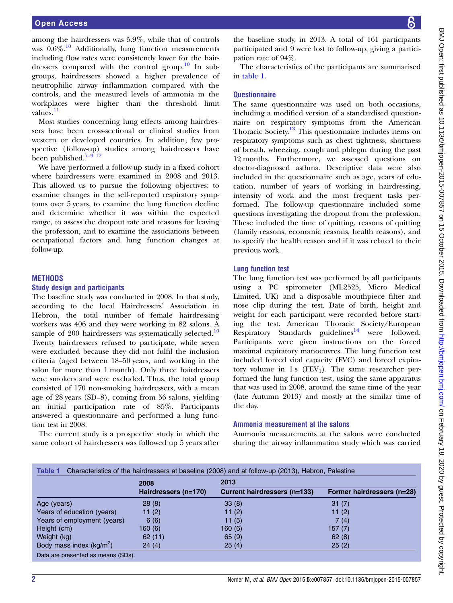among the hairdressers was 5.9%, while that of controls was  $0.6\%$ .<sup>[10](#page-6-0)</sup> Additionally, lung function measurements including flow rates were consistently lower for the hair-dressers compared with the control group.<sup>[10](#page-6-0)</sup> In subgroups, hairdressers showed a higher prevalence of neutrophilic airway inflammation compared with the controls, and the measured levels of ammonia in the workplaces were higher than the threshold limit values.<sup>[11](#page-6-0)</sup>

Most studies concerning lung effects among hairdressers have been cross-sectional or clinical studies from western or developed countries. In addition, few prospective ( follo[w-up](#page-6-0)) studies among hairdressers have been published. $7-9$  [12](#page-6-0)

We have performed a follow-up study in a fixed cohort where hairdressers were examined in 2008 and 2013. This allowed us to pursue the following objectives: to examine changes in the self-reported respiratory symptoms over 5 years, to examine the lung function decline and determine whether it was within the expected range, to assess the dropout rate and reasons for leaving the profession, and to examine the associations between occupational factors and lung function changes at follow-up.

### **METHODS**

#### Study design and participants

The baseline study was conducted in 2008. In that study, according to the local Hairdressers' Association in Hebron, the total number of female hairdressing workers was 406 and they were working in 82 salons. A sample of 200 hairdressers was systematically selected.<sup>[10](#page-6-0)</sup> Twenty hairdressers refused to participate, while seven were excluded because they did not fulfil the inclusion criteria (aged between 18–50 years, and working in the salon for more than 1 month). Only three hairdressers were smokers and were excluded. Thus, the total group consisted of 170 non-smoking hairdressers, with a mean age of 28 years (SD=8), coming from 56 salons, yielding an initial participation rate of 85%. Participants answered a questionnaire and performed a lung function test in 2008.

The current study is a prospective study in which the same cohort of hairdressers was followed up 5 years after

the baseline study, in 2013. A total of 161 participants participated and 9 were lost to follow-up, giving a participation rate of 94%.

The characteristics of the participants are summarised in table 1.

## **Questionnaire**

The same questionnaire was used on both occasions, including a modified version of a standardised questionnaire on respiratory symptoms from the American Thoracic Society[.13](#page-6-0) This questionnaire includes items on respiratory symptoms such as chest tightness, shortness of breath, wheezing, cough and phlegm during the past 12 months. Furthermore, we assessed questions on doctor-diagnosed asthma. Descriptive data were also included in the questionnaire such as age, years of education, number of years of working in hairdressing, intensity of work and the most frequent tasks performed. The follow-up questionnaire included some questions investigating the dropout from the profession. These included the time of quitting, reasons of quitting ( family reasons, economic reasons, health reasons), and to specify the health reason and if it was related to their previous work.

## Lung function test

The lung function test was performed by all participants using a PC spirometer (ML2525, Micro Medical Limited, UK) and a disposable mouthpiece filter and nose clip during the test. Date of birth, height and weight for each participant were recorded before starting the test. American Thoracic Society/European Respiratory Standards guidelines $14$  were followed. Participants were given instructions on the forced maximal expiratory manoeuvres. The lung function test included forced vital capacity (FVC) and forced expiratory volume in 1 s  $(FEV_1)$ . The same researcher performed the lung function test, using the same apparatus that was used in 2008, around the same time of the year (late Autumn 2013) and mostly at the similar time of the day.

### Ammonia measurement at the salons

Ammonia measurements at the salons were conducted during the airway inflammation study which was carried

|                             | 2008                 | 2013                         |                            |  |  |  |  |
|-----------------------------|----------------------|------------------------------|----------------------------|--|--|--|--|
|                             | Hairdressers (n=170) | Current hairdressers (n=133) | Former hairdressers (n=28) |  |  |  |  |
| Age (years)                 | 28(8)                | 33(8)                        | 31(7)                      |  |  |  |  |
| Years of education (years)  | 11 $(2)$             | 11 $(2)$                     | 11 $(2)$                   |  |  |  |  |
| Years of employment (years) | 6(6)                 | 11(5)                        | 7(4)                       |  |  |  |  |
| Height (cm)                 | 160(6)               | 160 (6)                      | 157(7)                     |  |  |  |  |
| Weight (kg)                 | 62(11)               | 65(9)                        | 62(8)                      |  |  |  |  |
| Body mass index $(kg/m^2)$  | 24(4)                | 25(4)                        | 25(2)                      |  |  |  |  |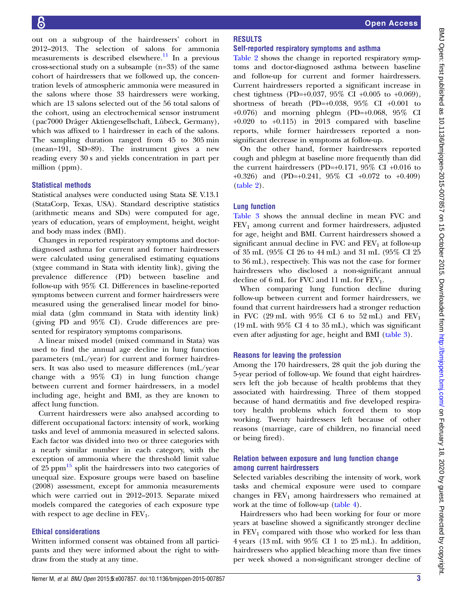out on a subgroup of the hairdressers' cohort in 2012–2013. The selection of salons for ammonia measurements is described elsewhere.<sup>[11](#page-6-0)</sup> In a previous cross-sectional study on a subsample (n=33) of the same cohort of hairdressers that we followed up, the concentration levels of atmospheric ammonia were measured in the salons where those 33 hairdressers were working, which are 13 salons selected out of the 56 total salons of the cohort, using an electrochemical sensor instrument (pac7000 Dräger Aktiengesellschaft, Lübeck, Germany), which was affixed to 1 hairdresser in each of the salons. The sampling duration ranged from 45 to 305 min (mean=191, SD=89). The instrument gives a new reading every 30 s and yields concentration in part per million (ppm).

#### Statistical methods

Statistical analyses were conducted using Stata SE V.13.1 (StataCorp, Texas, USA). Standard descriptive statistics (arithmetic means and SDs) were computed for age, years of education, years of employment, height, weight and body mass index (BMI).

Changes in reported respiratory symptoms and doctordiagnosed asthma for current and former hairdressers were calculated using generalised estimating equations (xtgee command in Stata with identity link), giving the prevalence difference (PD) between baseline and follow-up with 95% CI. Differences in baseline-reported symptoms between current and former hairdressers were measured using the generalised linear model for binomial data (glm command in Stata with identity link) (giving PD and 95% CI). Crude differences are presented for respiratory symptoms comparisons.

A linear mixed model (mixed command in Stata) was used to find the annual age decline in lung function parameters (mL/year) for current and former hairdressers. It was also used to measure differences (mL/year change with a 95% CI) in lung function change between current and former hairdressers, in a model including age, height and BMI, as they are known to affect lung function.

Current hairdressers were also analysed according to different occupational factors: intensity of work, working tasks and level of ammonia measured in selected salons. Each factor was divided into two or three categories with a nearly similar number in each category, with the exception of ammonia where the threshold limit value of 25 ppm<sup>[15](#page-6-0)</sup> split the hairdressers into two categories of unequal size. Exposure groups were based on baseline (2008) assessment, except for ammonia measurements which were carried out in 2012–2013. Separate mixed models compared the categories of each exposure type with respect to age decline in  $FEV_1$ .

### Ethical considerations

Written informed consent was obtained from all participants and they were informed about the right to withdraw from the study at any time.

#### **RESULTS** Self-reported respiratory symptoms and asthma

[Table 2](#page-3-0) shows the change in reported respiratory symptoms and doctor-diagnosed asthma between baseline and follow-up for current and former hairdressers. Current hairdressers reported a significant increase in chest tightness (PD=+0.037, 95% CI +0.005 to +0.069), shortness of breath (PD=+0.038,  $95\%$  CI +0.001 to +0.076) and morning phlegm (PD=+0.068, 95% CI  $+0.020$  to  $+0.115$ ) in 2013 compared with baseline reports, while former hairdressers reported a nonsignificant decrease in symptoms at follow-up.

On the other hand, former hairdressers reported cough and phlegm at baseline more frequently than did the current hairdressers (PD=+0.171, 95% CI +0.016 to +0.326) and (PD=+0.241, 95% CI +0.072 to +0.409) [\(table 2](#page-3-0)).

## Lung function

[Table 3](#page-4-0) shows the annual decline in mean FVC and  $FEV<sub>1</sub>$  among current and former hairdressers, adjusted for age, height and BMI. Current hairdressers showed a significant annual decline in FVC and  $FEV<sub>1</sub>$  at follow-up of 35 mL (95% CI 26 to 44 mL) and 31 mL (95% CI 25 to 36 mL), respectively. This was not the case for former hairdressers who disclosed a non-significant annual decline of  $6$  mL for FVC and  $11$  mL for FEV<sub>1</sub>.

When comparing lung function decline during follow-up between current and former hairdressers, we found that current hairdressers had a stronger reduction in FVC (29 mL with  $95\%$  CI 6 to  $52$  mL) and FEV<sub>1</sub> (19 mL with 95% CI 4 to 35 mL), which was significant even after adjusting for age, height and BMI ([table 3\)](#page-4-0).

### Reasons for leaving the profession

Among the 170 hairdressers, 28 quit the job during the 5-year period of follow-up. We found that eight hairdressers left the job because of health problems that they associated with hairdressing. Three of them stopped because of hand dermatitis and five developed respiratory health problems which forced them to stop working. Twenty hairdressers left because of other reasons (marriage, care of children, no financial need or being fired).

### Relation between exposure and lung function change among current hairdressers

Selected variables describing the intensity of work, work tasks and chemical exposure were used to compare changes in  $FEV<sub>1</sub>$  among hairdressers who remained at work at the time of follow-up ([table 4\)](#page-4-0).

Hairdressers who had been working for four or more years at baseline showed a significantly stronger decline in  $FEV_1$  compared with those who worked for less than 4 years (13 mL with 95% CI 1 to 25 mL). In addition, hairdressers who applied bleaching more than five times per week showed a non-significant stronger decline of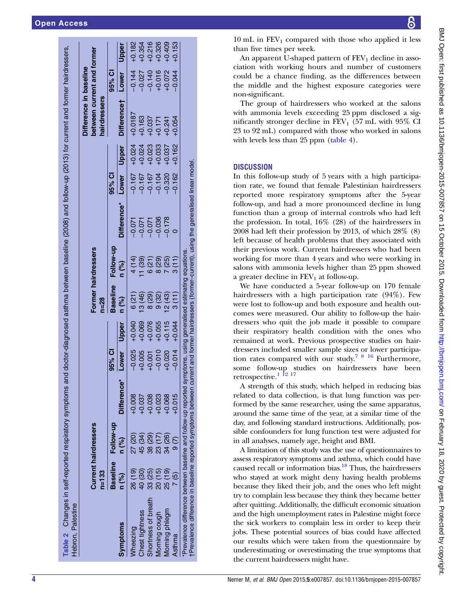<span id="page-3-0"></span>

|                                                                                                                                      | $n = 133$       | <b>Current hairdressers</b> |             |          |          | $n = 28$                                        | Former hairdressers |                                                                                    |          |          | between current and former<br>Difference in baseline<br>hairdressers |          |          |
|--------------------------------------------------------------------------------------------------------------------------------------|-----------------|-----------------------------|-------------|----------|----------|-------------------------------------------------|---------------------|------------------------------------------------------------------------------------|----------|----------|----------------------------------------------------------------------|----------|----------|
|                                                                                                                                      | <b>Baseline</b> | Follow-up                   |             | 95% CI   |          | <b>Baseline</b>                                 | Follow-up           |                                                                                    | 95% CI   |          |                                                                      | ೦<br>೧೯೫ |          |
| <b>Symptoms</b>                                                                                                                      | n (%)           | n (%)                       | Difference* | Lower    | Upper    | n (%)                                           | n (%)               | Difference*                                                                        | Lower    | Upper    | Difference†                                                          | Lower    | Upper    |
| Wheezing                                                                                                                             | 26 (19)         | 27 (20)                     | $-0.008$    | $-0.025$ | $+0.040$ | 6(21)                                           | 4 (14)              | $-0.071$                                                                           | $-0.167$ | $+0.024$ | $+0.0187$                                                            | $-0.144$ | $+0.182$ |
| Chest tightness                                                                                                                      | 40 (30)         | 45 (34)                     | $+0.037$    | $+0.005$ | $+0.069$ | 13 (46)                                         | 11(39)              | $-0.071$                                                                           | $-0.167$ | $+0.024$ | $+0.163$                                                             | $-0.027$ | $+0.354$ |
| Shortness of breath                                                                                                                  | $\frac{8}{3}$   | $\frac{8}{3}$               | $+0.038$    | $+0.001$ | $+0.076$ | (29)                                            | 6(21)               | $-0.071$                                                                           | $-0.167$ | $+0.023$ | $+0.037$                                                             | $-0.140$ | $+0.216$ |
| Morning cough                                                                                                                        | ລັ              | $\frac{8}{2}$               | $+0.023$    | $-0.010$ | $+0.055$ | 9(32)                                           | (62)                | $-0.036$                                                                           | $-0.104$ | $+0.033$ | $+0.171$                                                             | $+0.016$ | $+0.326$ |
| Morning phlegm                                                                                                                       | $\frac{1}{25}$  | 34 (26)                     | $+0.068$    | $+0.020$ | $+0.115$ | 12(43)                                          | (25)                | $-0.178$                                                                           | $-0.320$ | $+0.037$ | $+0.241$                                                             | $+0.072$ | $+0.409$ |
| Asthma                                                                                                                               | <u>ິ</u>        |                             | $-0.015$    | $-0.014$ | $+0.044$ | 3(11)                                           | 3(11)               |                                                                                    | $-0.162$ | $+0.162$ | $+0.054$                                                             | $-0.044$ | $+0.153$ |
| tPrevalence difference in baseline reported symptoms between cur<br>Prevalence difference between baseline and follow-up reported sy |                 |                             |             |          |          | mptoms, using generalised estimating equations. |                     | rrent and former hairdressers (former-current), using the generalised linear model |          |          |                                                                      |          |          |

BMJ Open: first published as 10.1136/bmjopen-2015-007857 on 15 October 2015. Downloaded from http://bmjopen.bmj.com/ on February 18, 2020 by guest. Protected by copyright BMJ Open: first published as 10.1136/bmjopen-2015-007857 on 15 October 2015. Downloaded from <http://bmjopen.bmj.com/> on February 18, 2020 by guest. Protected by copyright.

 $10 \text{ mL}$  in  $FEV_1$  compared with those who applied it less than five times per week.

An apparent U-shaped pattern of  $FEV<sub>1</sub>$  decline in association with working hours and number of customers could be a chance finding, as the differences between the middle and the highest exposure categories were non-significant.

The group of hairdressers who worked at the salons with ammonia levels exceeding 25 ppm disclosed a significantly stronger decline in  $FEV<sub>1</sub>$  (57 mL with 95% CI 23 to 92 mL) compared with those who worked in salons with levels less than 25 ppm [\(table 4\)](#page-4-0).

## **DISCUSSION**

In this follow-up study of 5 years with a high participation rate, we found that female Palestinian hairdressers reported more respiratory symptoms after the 5-year follow-up, and had a more pronounced decline in lung function than a group of internal controls who had left the profession. In total, 16% (28) of the hairdressers in 2008 had left their profession by 2013, of which 28% (8) left because of health problems that they associated with their previous work. Current hairdressers who had been working for more than 4 years and who were working in salons with ammonia levels higher than 25 ppm showed a greater decline in  $FEV<sub>1</sub>$  at follow-up.

We have conducted a 5-year follow-up on 170 female hairdressers with a high participation rate (94%). Few were lost to follow-up and both exposure and health outcomes were measured. Our ability to follow-up the hairdressers who quit the job made it possible to compare their respiratory health condition with the ones who remained at work. Previous prospective studies on hairdressers included smaller sample sizes or lower participation rates compared with our study.[7 8 16](#page-6-0) Furthermore, some follow-up studies on hairdressers have been retrospective.<sup>1 12</sup> 17

A strength of this study, which helped in reducing bias related to data collection, is that lung function was performed by the same researcher, using the same apparatus, around the same time of the year, at a similar time of the day, and following standard instructions. Additionally, possible confounders for lung function test were adjusted for in all analyses, namely age, height and BMI.

A limitation of this study was the use of questionnaires to assess respiratory symptoms and asthma, which could have caused recall or information bias. $^{18}$  Thus, the hairdressers who stayed at work might deny having health problems because they liked their job, and the ones who left might try to complain less because they think they became better after quitting. Additionally, the difficult economic situation and the high unemployment rates in Palestine might force the sick workers to complain less in order to keep their jobs. These potential sources of bias could have affected our results which were taken from the questionnaire by underestimating or overestimating the true symptoms that the current hairdressers might have.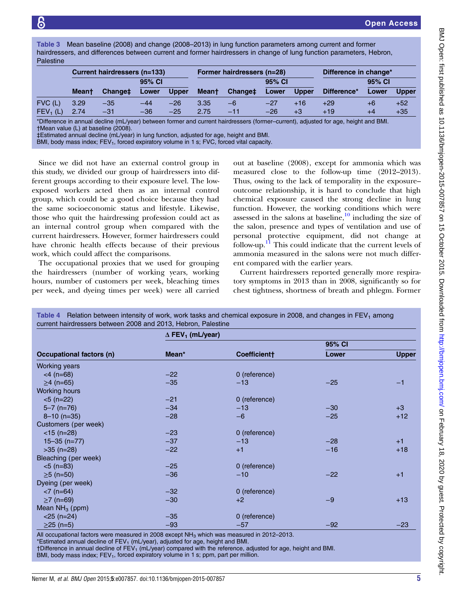<span id="page-4-0"></span>Table 3 Mean baseline (2008) and change (2008–2013) in lung function parameters among current and former hairdressers, and differences between current and former hairdressers in change of lung function parameters, Hebron, Palestine

|            | <b>Current hairdressers (n=133)</b> |                     |       |              | Former hairdressers (n=28) |                     |       |              | Difference in change* |       |              |
|------------|-------------------------------------|---------------------|-------|--------------|----------------------------|---------------------|-------|--------------|-----------------------|-------|--------------|
|            | 95% CI                              |                     |       |              | 95% CI                     |                     |       |              | 95% CI                |       |              |
|            | <b>Meant</b>                        | Change <sup>‡</sup> | Lower | <b>Upper</b> | <b>Mean</b> t              | Change <sup>‡</sup> | Lower | <b>Upper</b> | Difference*           | Lower | <b>Upper</b> |
| $FVC$ (L)  | 3.29                                | $-35$               | $-44$ | $-26$        | 3.35                       | -6                  | $-27$ | $+16$        | $+29$                 | $+6$  | $+52$        |
| $FEV_1(L)$ | 2.74                                | $-31$               | $-36$ | $-25$        | 2.75                       | $-11$               | $-26$ | $+3$         | $+19$                 | $+4$  | $+35$        |

\*Difference in annual decline (mL/year) between former and current hairdressers (former–current), adjusted for age, height and BMI. †Mean value (L) at baseline (2008).

‡Estimated annual decline (mL/year) in lung function, adjusted for age, height and BMI.

BMI, body mass index; FEV<sub>1</sub>, forced expiratory volume in 1 s; FVC, forced vital capacity.

Since we did not have an external control group in this study, we divided our group of hairdressers into different groups according to their exposure level. The lowexposed workers acted then as an internal control group, which could be a good choice because they had the same socioeconomic status and lifestyle. Likewise, those who quit the hairdressing profession could act as an internal control group when compared with the current hairdressers. However, former hairdressers could have chronic health effects because of their previous work, which could affect the comparisons.

The occupational proxies that we used for grouping the hairdressers (number of working years, working hours, number of customers per week, bleaching times per week, and dyeing times per week) were all carried

out at baseline (2008), except for ammonia which was measured close to the follow-up time (2012–2013). Thus, owing to the lack of temporality in the exposure– outcome relationship, it is hard to conclude that high chemical exposure caused the strong decline in lung function. However, the working conditions which were assessed in the salons at baseline, $\frac{10}{10}$  $\frac{10}{10}$  $\frac{10}{10}$  including the size of the salon, presence and types of ventilation and use of personal protective equipment, did not change at follow-up. $\frac{11}{11}$  $\frac{11}{11}$  $\frac{11}{11}$  This could indicate that the current levels of ammonia measured in the salons were not much different compared with the earlier years.

Current hairdressers reported generally more respiratory symptoms in 2013 than in 2008, significantly so for chest tightness, shortness of breath and phlegm. Former

|                                 | $\Delta$ FEV <sub>1</sub> (mL/year) |               |        |       |  |  |  |  |
|---------------------------------|-------------------------------------|---------------|--------|-------|--|--|--|--|
|                                 |                                     |               | 95% CI |       |  |  |  |  |
| <b>Occupational factors (n)</b> | Mean*                               | Coefficient†  | Lower  | Upper |  |  |  |  |
| <b>Working years</b>            |                                     |               |        |       |  |  |  |  |
| $<$ 4 (n=68)                    | $-22$                               | 0 (reference) |        |       |  |  |  |  |
| $\geq$ 4 (n=65)                 | $-35$                               | $-13$         | $-25$  | $-1$  |  |  |  |  |
| <b>Working hours</b>            |                                     |               |        |       |  |  |  |  |
| $<$ 5 (n=22)                    | $-21$                               | 0 (reference) |        |       |  |  |  |  |
| $5 - 7$ (n=76)                  | $-34$                               | $-13$         | $-30$  | $+3$  |  |  |  |  |
| $8 - 10$ (n=35)                 | $-28$                               | $-6$          | $-25$  | $+12$ |  |  |  |  |
| Customers (per week)            |                                     |               |        |       |  |  |  |  |
| $<$ 15 (n=28)                   | $-23$                               | 0 (reference) |        |       |  |  |  |  |
| $15 - 35$ (n=77)                | $-37$                               | $-13$         | $-28$  | $+1$  |  |  |  |  |
| $>35$ (n=28)                    | $-22$                               | $+1$          | $-16$  | $+18$ |  |  |  |  |
| Bleaching (per week)            |                                     |               |        |       |  |  |  |  |
| $<$ 5 (n=83)                    | $-25$                               | 0 (reference) |        |       |  |  |  |  |
| $≥5$ (n=50)                     | $-36$                               | $-10$         | $-22$  | $+1$  |  |  |  |  |
| Dyeing (per week)               |                                     |               |        |       |  |  |  |  |
| $< 7$ (n=64)                    | $-32$                               | 0 (reference) |        |       |  |  |  |  |
| $≥7$ (n=69)                     | $-30$                               | $+2$          | $-9$   | $+13$ |  |  |  |  |
| Mean $NH3$ (ppm)                |                                     |               |        |       |  |  |  |  |
| $<$ 25 (n=24)                   | $-35$                               | 0 (reference) |        |       |  |  |  |  |
| $≥25$ (n=5)                     | $-93$                               | $-57$         | $-92$  | $-23$ |  |  |  |  |

Table 4 Relation between intensity of work, work tasks and chemical exposure in 2008, and changes in FEV1 among

Il occupational factors were measured in 2008 except NH $_3$  which was measured in 2012–2013.

\*Estimated annual decline of  $FEV<sub>1</sub>$  (mL/year), adjusted for age, height and BMI.

†Difference in annual decline of FEV1 (mL/year) compared with the reference, adjusted for age, height and BMI.

BMI, body mass index;  $FEV_1$ , forced expiratory volume in 1 s; ppm, part per million.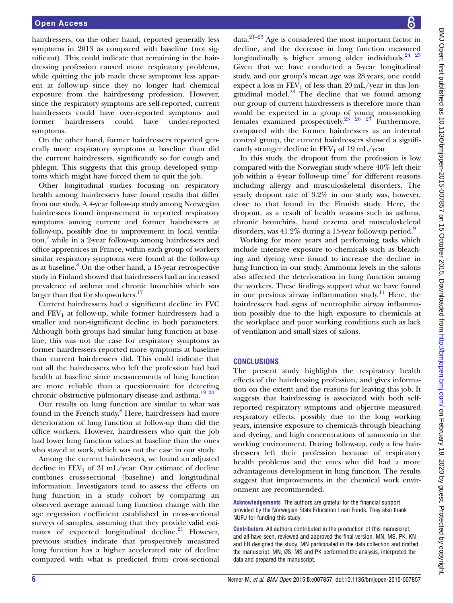hairdressers, on the other hand, reported generally less symptoms in 2013 as compared with baseline (not significant). This could indicate that remaining in the hairdressing profession caused more respiratory problems, while quitting the job made these symptoms less apparent at follow-up since they no longer had chemical exposure from the hairdressing profession. However, since the respiratory symptoms are self-reported, current hairdressers could have over-reported symptoms and former hairdressers could have under-reported symptoms.

On the other hand, former hairdressers reported generally more respiratory symptoms at baseline than did the current hairdressers, significantly so for cough and phlegm. This suggests that this group developed symptoms which might have forced them to quit the job.

Other longitudinal studies focusing on respiratory health among hairdressers have found results that differ from our study. A 4-year follow-up study among Norwegian hairdressers found improvement in reported respiratory symptoms among current and former hairdressers at follow-up, possibly due to improvement in local ventilation, while in a 2-year follow-up among hairdressers and office apprentices in France, within each group of workers similar respiratory symptoms were found at the follow-up as at baseline. $8$  On the other hand, a 15-year retrospective study in Finland showed that hairdressers had an increased prevalence of asthma and chronic bronchitis which was larger than that for shopworkers.<sup>17</sup>

Current hairdressers had a significant decline in FVC and  $FEV<sub>1</sub>$  at follow-up, while former hairdressers had a smaller and non-significant decline in both parameters. Although both groups had similar lung function at baseline, this was not the case for respiratory symptoms as former hairdressers reported more symptoms at baseline than current hairdressers did. This could indicate that not all the hairdressers who left the profession had bad health at baseline since measurements of lung function are more reliable than a questionnaire for detecting chronic obstructive pulmonary disease and asthma.<sup>[19 20](#page-6-0)</sup>

Our results on lung function are similar to what was found in the French study.<sup>8</sup> Here, hairdressers had more deterioration of lung function at follow-up than did the office workers. However, hairdressers who quit the job had lower lung function values at baseline than the ones who stayed at work, which was not the case in our study.

Among the current hairdressers, we found an adjusted decline in  $FEV_1$  of 31 mL/year. Our estimate of decline combines cross-sectional (baseline) and longitudinal information. Investigators tend to assess the effects on lung function in a study cohort by comparing an observed average annual lung function change with the age regression coefficient established in cross-sectional surveys of samples, assuming that they provide valid esti-mates of expected longitudinal decline.<sup>[21](#page-6-0)</sup> However, previous studies indicate that prospectively measured lung function has a higher accelerated rate of decline compared with what is predicted from cross-sectional

 $data.<sup>21-23</sup> Age$  $data.<sup>21-23</sup> Age$  $data.<sup>21-23</sup> Age$  is considered the most important factor in decline, and the decrease in lung function measured longitudinally is higher among older individuals. $24^{25}$ Given that we have conducted a 5-year longitudinal study, and our group's mean age was 28 years, one could expect a loss in  $FEV<sub>1</sub>$  of less than 20 mL/year in this longitudinal model. $23$  The decline that we found among our group of current hairdressers is therefore more than would be expected in a group of young non-smoking females examined prospectively.<sup>23</sup> <sup>26</sup> <sup>27</sup> Furthermore, compared with the former hairdressers as an internal control group, the current hairdressers showed a significantly stronger decline in  $FEV<sub>1</sub>$  of 19 mL/year.

In this study, the dropout from the profession is low compared with the Norwegian study where 40% left their job within a 4-year follow-up time<sup>[7](#page-6-0)</sup> for different reasons including allergy and musculoskeletal disorders. The yearly dropout rate of 3.2% in our study was, however, close to that found in the Finnish study. Here, the dropout, as a result of health reasons such as asthma, chronic bronchitis, hand eczema and musculoskeletal disorders, was 41.2% during a 15-year follow-up period.<sup>[9](#page-6-0)</sup>

Working for more years and performing tasks which include intensive exposure to chemicals such as bleaching and dyeing were found to increase the decline in lung function in our study. Ammonia levels in the salons also affected the deterioration in lung function among the workers. These findings support what we have found in our previous airway inflammation study.<sup>11</sup> Here, the hairdressers had signs of neutrophilic airway inflammation possibly due to the high exposure to chemicals at the workplace and poor working conditions such as lack of ventilation and small sizes of salons.

#### CONCLUSIONS

The present study highlights the respiratory health effects of the hairdressing profession, and gives information on the extent and the reasons for leaving this job. It suggests that hairdressing is associated with both selfreported respiratory symptoms and objective measured respiratory effects, possibly due to the long working years, intensive exposure to chemicals through bleaching and dyeing, and high concentrations of ammonia in the working environment. During follow-up, only a few hairdressers left their profession because of respiratory health problems and the ones who did had a more advantageous development in lung function. The results suggest that improvements in the chemical work environment are recommended.

Acknowledgements The authors are grateful for the financial support provided by the Norwegian State Education Loan Funds. They also thank NUFU for funding this study.

Contributors All authors contributed in the production of this manuscript, and all have seen, reviewed and approved the final version. MN, MS, PK, KN and EB designed the study. MN participated in the data collection and drafted the manuscript. MN, ØS, MS and PK performed the analysis, interpreted the data and prepared the manuscript.